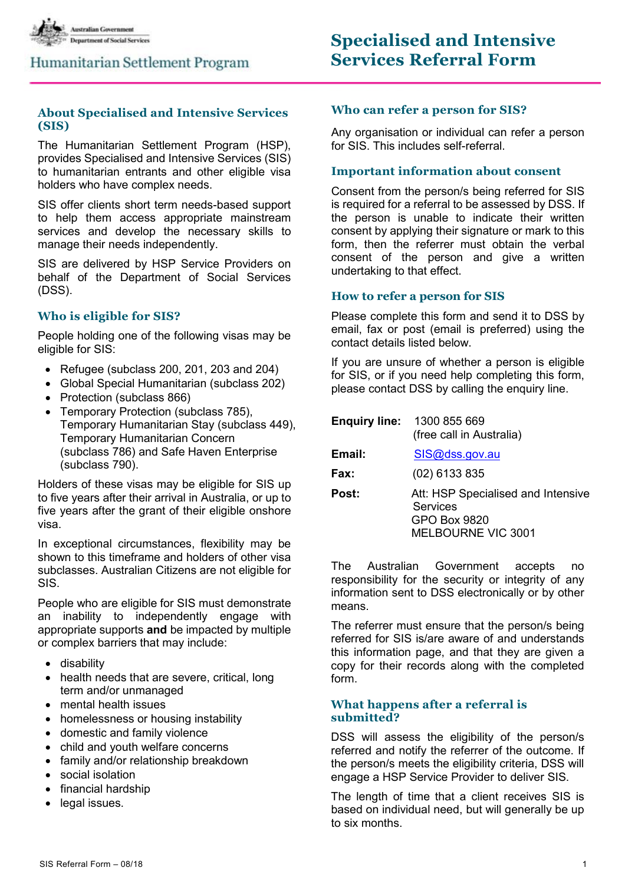

### Humanitarian Settlement Program

### **About Specialised and Intensive Services (SIS)**

The Humanitarian Settlement Program (HSP), provides Specialised and Intensive Services (SIS) to humanitarian entrants and other eligible visa holders who have complex needs.

SIS offer clients short term needs-based support to help them access appropriate mainstream services and develop the necessary skills to manage their needs independently.

SIS are delivered by HSP Service Providers on behalf of the Department of Social Services (DSS).

### **Who is eligible for SIS?**

People holding one of the following visas may be eligible for SIS:

- Refugee (subclass 200, 201, 203 and 204)
- Global Special Humanitarian (subclass 202)
- Protection (subclass 866)
- Temporary Protection (subclass 785), Temporary Humanitarian Stay (subclass 449), Temporary Humanitarian Concern (subclass 786) and Safe Haven Enterprise (subclass 790).

Holders of these visas may be eligible for SIS up to five years after their arrival in Australia, or up to five years after the grant of their eligible onshore visa.

In exceptional circumstances, flexibility may be shown to this timeframe and holders of other visa subclasses. Australian Citizens are not eligible for SIS.

People who are eligible for SIS must demonstrate an inability to independently engage with appropriate supports **and** be impacted by multiple or complex barriers that may include:

- disability
- health needs that are severe, critical, long term and/or unmanaged
- mental health issues
- homelessness or housing instability
- domestic and family violence
- child and youth welfare concerns
- family and/or relationship breakdown
- social isolation
- financial hardship
- legal issues.

#### **Who can refer a person for SIS?**

Any organisation or individual can refer a person for SIS. This includes self-referral.

### **Important information about consent**

Consent from the person/s being referred for SIS is required for a referral to be assessed by DSS. If the person is unable to indicate their written consent by applying their signature or mark to this form, then the referrer must obtain the verbal consent of the person and give a written undertaking to that effect.

#### **How to refer a person for SIS**

Please complete this form and send it to DSS by email, fax or post (email is preferred) using the contact details listed below.

If you are unsure of whether a person is eligible for SIS, or if you need help completing this form, please contact DSS by calling the enquiry line.

|        | <b>Enquiry line: 1300 855 669</b><br>(free call in Australia)                        |
|--------|--------------------------------------------------------------------------------------|
| Email: | SIS@dss.gov.au                                                                       |
| Fax:   | $(02)$ 6133 835                                                                      |
| Post:  | Att: HSP Specialised and Intensive<br>Services<br>GPO Box 9820<br>MELBOURNE VIC 3001 |

The Australian Government accepts no responsibility for the security or integrity of any information sent to DSS electronically or by other means.

The referrer must ensure that the person/s being referred for SIS is/are aware of and understands this information page, and that they are given a copy for their records along with the completed form.

### **What happens after a referral is submitted?**

DSS will assess the eligibility of the person/s referred and notify the referrer of the outcome. If the person/s meets the eligibility criteria, DSS will engage a HSP Service Provider to deliver SIS.

The length of time that a client receives SIS is based on individual need, but will generally be up to six months.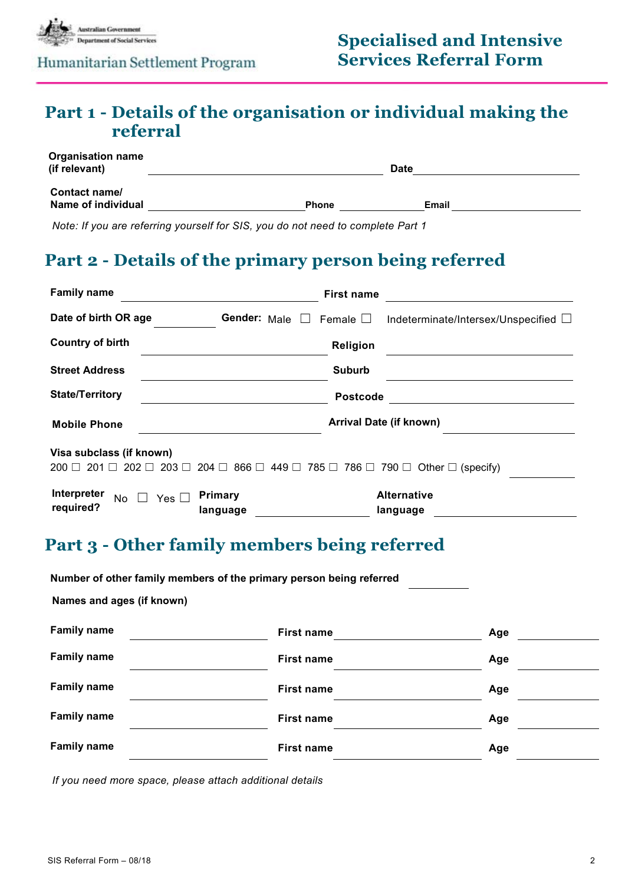

### Humanitarian Settlement Program

## **Part 1 - Details of the organisation or individual making the referral**

| <b>Organisation name</b><br>(if relevant) |              | <b>Date</b> |  |
|-------------------------------------------|--------------|-------------|--|
| Contact name/<br>Name of individual       | <b>Phone</b> | Email       |  |

*Note: If you are referring yourself for SIS, you do not need to complete Part 1* 

## **Part 2 - Details of the primary person being referred**

| <b>Family name</b>                                                                                                                           |                                | <b>First name</b> |                                           |
|----------------------------------------------------------------------------------------------------------------------------------------------|--------------------------------|-------------------|-------------------------------------------|
| Date of birth OR age                                                                                                                         | Gender: Male $\square$         | Female $\Box$     | Indeterminate/Intersex/Unspecified $\Box$ |
| <b>Country of birth</b>                                                                                                                      |                                | Religion          |                                           |
| <b>Street Address</b>                                                                                                                        |                                | <b>Suburb</b>     |                                           |
| <b>State/Territory</b>                                                                                                                       |                                | <b>Postcode</b>   |                                           |
| <b>Mobile Phone</b>                                                                                                                          | <b>Arrival Date (if known)</b> |                   |                                           |
| Visa subclass (if known)                                                                                                                     |                                |                   |                                           |
| 203 $\Box$ 204 $\Box$ 866 $\Box$ 449 $\Box$ 785 $\Box$ 786 $\Box$ 790 $\Box$ Other $\Box$ (specify)<br>$202$ $\Box$<br>201 □<br>$200$ $\Box$ |                                |                   |                                           |
| Interpreter<br>No                                                                                                                            | Primary<br>Yes $\Box$          |                   | <b>Alternative</b>                        |
| required?                                                                                                                                    | language                       |                   | language                                  |

## **Part 3 - Other family members being referred**

|                           | Number of other family members of the primary person being referred |                   |     |
|---------------------------|---------------------------------------------------------------------|-------------------|-----|
| Names and ages (if known) |                                                                     |                   |     |
| <b>Family name</b>        |                                                                     | <b>First name</b> | Age |
| <b>Family name</b>        |                                                                     | <b>First name</b> | Age |
| <b>Family name</b>        |                                                                     | <b>First name</b> | Age |
| <b>Family name</b>        |                                                                     | <b>First name</b> | Age |
| <b>Family name</b>        |                                                                     | <b>First name</b> | Age |
|                           |                                                                     |                   |     |

*If you need more space, please attach additional details*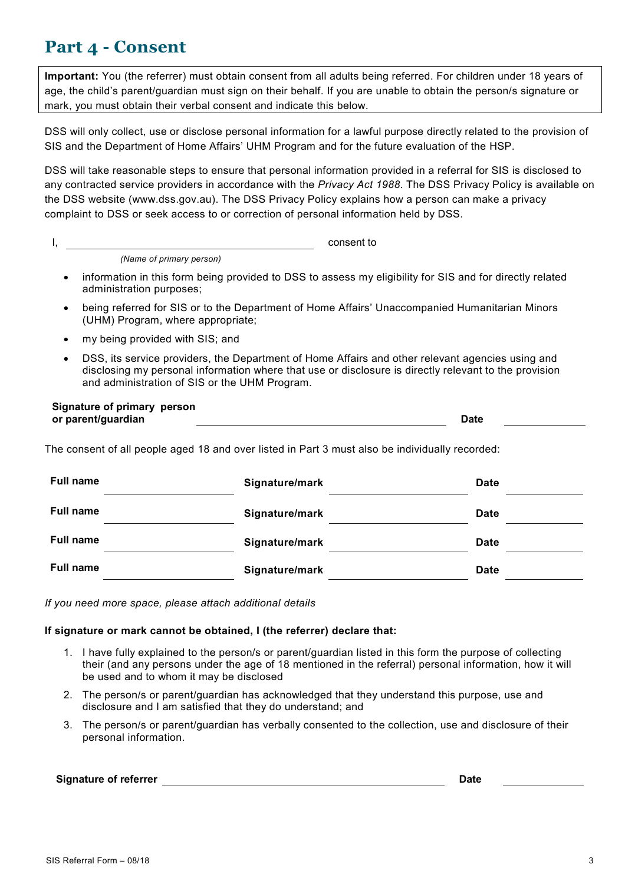## **Part 4 - Consent**

**Important:** You (the referrer) must obtain consent from all adults being referred. For children under 18 years of age, the child's parent/guardian must sign on their behalf. If you are unable to obtain the person/s signature or mark, you must obtain their verbal consent and indicate this below.

DSS will only collect, use or disclose personal information for a lawful purpose directly related to the provision of SIS and the Department of Home Affairs' UHM Program and for the future evaluation of the HSP.

DSS will take reasonable steps to ensure that personal information provided in a referral for SIS is disclosed to any contracted service providers in accordance with the *Privacy Act 1988*. The DSS Privacy Policy is available on the DSS website (www.dss.gov.au). The DSS Privacy Policy explains how a person can make a privacy complaint to DSS or seek access to or correction of personal information held by DSS.

*(Name of primary person)*

- information in this form being provided to DSS to assess my eligibility for SIS and for directly related administration purposes;
- being referred for SIS or to the Department of Home Affairs' Unaccompanied Humanitarian Minors (UHM) Program, where appropriate;
- my being provided with SIS; and
- DSS, its service providers, the Department of Home Affairs and other relevant agencies using and disclosing my personal information where that use or disclosure is directly relevant to the provision and administration of SIS or the UHM Program.

| Signature of primary person |      |
|-----------------------------|------|
| or parent/guardian          | Date |

The consent of all people aged 18 and over listed in Part 3 must also be individually recorded:

| <b>Full name</b> | Signature/mark | <b>Date</b> |
|------------------|----------------|-------------|
| <b>Full name</b> | Signature/mark | <b>Date</b> |
| <b>Full name</b> | Signature/mark | <b>Date</b> |
| <b>Full name</b> | Signature/mark | <b>Date</b> |

*If you need more space, please attach additional details*

### **If signature or mark cannot be obtained, I (the referrer) declare that:**

- 1. I have fully explained to the person/s or parent/guardian listed in this form the purpose of collecting their (and any persons under the age of 18 mentioned in the referral) personal information, how it will be used and to whom it may be disclosed
- 2. The person/s or parent/guardian has acknowledged that they understand this purpose, use and disclosure and I am satisfied that they do understand; and
- 3. The person/s or parent/guardian has verbally consented to the collection, use and disclosure of their personal information.

#### **Signature of referrer Date**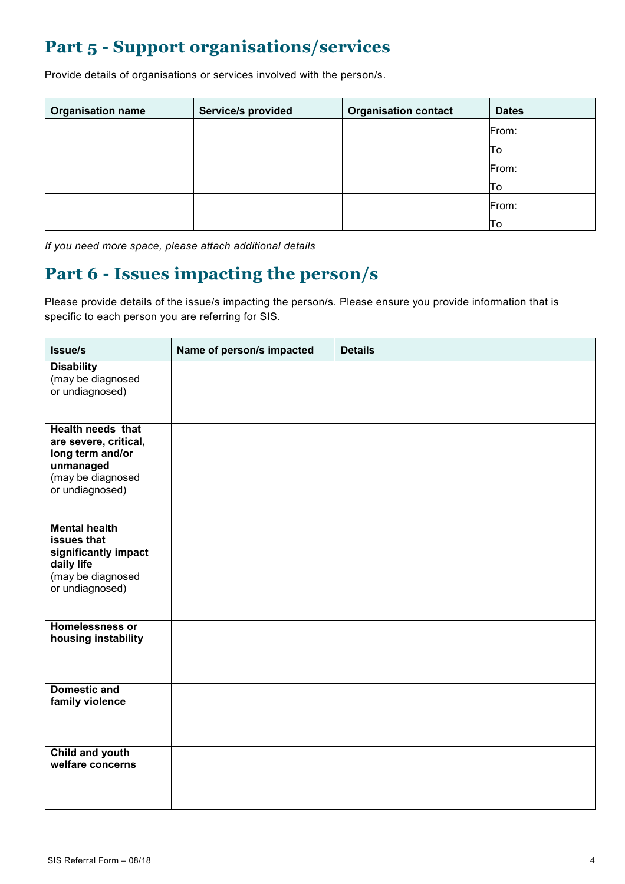# **Part 5 - Support organisations/services**

Provide details of organisations or services involved with the person/s.

| <b>Organisation name</b> | Service/s provided | <b>Organisation contact</b> | <b>Dates</b> |
|--------------------------|--------------------|-----------------------------|--------------|
|                          |                    |                             | From:        |
|                          |                    |                             | To           |
|                          |                    |                             | From:        |
|                          |                    |                             | To           |
|                          |                    |                             | From:        |
|                          |                    |                             | To           |

*If you need more space, please attach additional details*

# **Part 6 - Issues impacting the person/s**

Please provide details of the issue/s impacting the person/s. Please ensure you provide information that is specific to each person you are referring for SIS.

| Issue/s                                                                                                                    | Name of person/s impacted | <b>Details</b> |
|----------------------------------------------------------------------------------------------------------------------------|---------------------------|----------------|
| <b>Disability</b><br>(may be diagnosed<br>or undiagnosed)                                                                  |                           |                |
| <b>Health needs that</b><br>are severe, critical,<br>long term and/or<br>unmanaged<br>(may be diagnosed<br>or undiagnosed) |                           |                |
| <b>Mental health</b><br>issues that<br>significantly impact<br>daily life<br>(may be diagnosed<br>or undiagnosed)          |                           |                |
| <b>Homelessness or</b><br>housing instability                                                                              |                           |                |
| <b>Domestic and</b><br>family violence                                                                                     |                           |                |
| Child and youth<br>welfare concerns                                                                                        |                           |                |